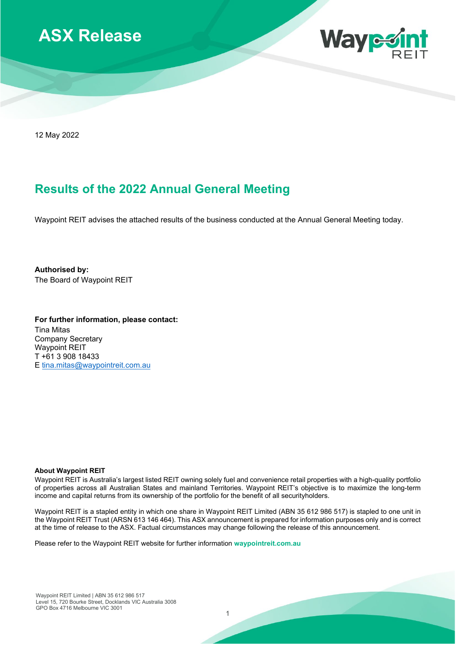



12 May 2022

## **Results of the 2022 Annual General Meeting**

Waypoint REIT advises the attached results of the business conducted at the Annual General Meeting today.

**Authorised by:** The Board of Waypoint REIT

**For further information, please contact:** Tina Mitas Company Secretary Waypoint REIT T +61 3 908 18433 E [tina.mitas@waypointreit.com.au](mailto:tina.mitas@waypointreit.com.au)

## **About Waypoint REIT**

Waypoint REIT is Australia's largest listed REIT owning solely fuel and convenience retail properties with a high-quality portfolio of properties across all Australian States and mainland Territories. Waypoint REIT's objective is to maximize the long-term income and capital returns from its ownership of the portfolio for the benefit of all securityholders.

Waypoint REIT is a stapled entity in which one share in Waypoint REIT Limited (ABN 35 612 986 517) is stapled to one unit in the Waypoint REIT Trust (ARSN 613 146 464). This ASX announcement is prepared for information purposes only and is correct at the time of release to the ASX. Factual circumstances may change following the release of this announcement.

Please refer to the Waypoint REIT website for further information **waypointreit.com.au**

1